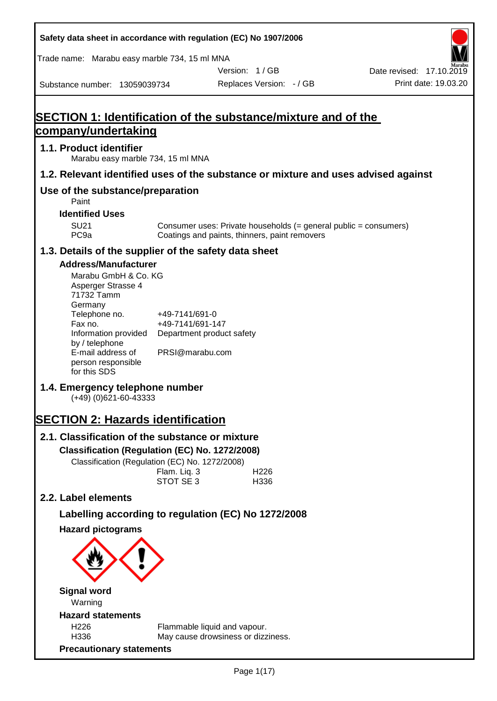| Safety data sheet in accordance with regulation (EC) No 1907/2006                       |                                                                 |                                               |                                                                  |                                                  |
|-----------------------------------------------------------------------------------------|-----------------------------------------------------------------|-----------------------------------------------|------------------------------------------------------------------|--------------------------------------------------|
| Trade name: Marabu easy marble 734, 15 ml MNA                                           |                                                                 |                                               |                                                                  |                                                  |
| Substance number: 13059039734                                                           |                                                                 | Version: 1/GB<br>Replaces Version: - / GB     |                                                                  | Date revised: 17.10.2019<br>Print date: 19.03.20 |
|                                                                                         |                                                                 |                                               |                                                                  |                                                  |
| <b>SECTION 1: Identification of the substance/mixture and of the</b>                    |                                                                 |                                               |                                                                  |                                                  |
| <u>company/undertaking</u>                                                              |                                                                 |                                               |                                                                  |                                                  |
| 1.1. Product identifier<br>Marabu easy marble 734, 15 ml MNA                            |                                                                 |                                               |                                                                  |                                                  |
| 1.2. Relevant identified uses of the substance or mixture and uses advised against      |                                                                 |                                               |                                                                  |                                                  |
| Use of the substance/preparation<br>Paint                                               |                                                                 |                                               |                                                                  |                                                  |
| <b>Identified Uses</b>                                                                  |                                                                 |                                               |                                                                  |                                                  |
| <b>SU21</b><br>PC <sub>9a</sub>                                                         |                                                                 | Coatings and paints, thinners, paint removers | Consumer uses: Private households (= general public = consumers) |                                                  |
| 1.3. Details of the supplier of the safety data sheet                                   |                                                                 |                                               |                                                                  |                                                  |
| <b>Address/Manufacturer</b><br>Marabu GmbH & Co. KG<br>Asperger Strasse 4<br>71732 Tamm |                                                                 |                                               |                                                                  |                                                  |
| Germany<br>Telephone no.<br>Fax no.<br>Information provided<br>by / telephone           | +49-7141/691-0<br>+49-7141/691-147<br>Department product safety |                                               |                                                                  |                                                  |
| E-mail address of<br>person responsible<br>for this SDS                                 | PRSI@marabu.com                                                 |                                               |                                                                  |                                                  |
| 1.4. Emergency telephone number<br>$(+49)$ (0)621-60-43333                              |                                                                 |                                               |                                                                  |                                                  |
| <b>SECTION 2: Hazards identification</b>                                                |                                                                 |                                               |                                                                  |                                                  |
| 2.1. Classification of the substance or mixture                                         |                                                                 |                                               |                                                                  |                                                  |
| Classification (Regulation (EC) No. 1272/2008)                                          |                                                                 |                                               |                                                                  |                                                  |
| Classification (Regulation (EC) No. 1272/2008)                                          |                                                                 |                                               |                                                                  |                                                  |
|                                                                                         | Flam. Liq. 3<br>STOT SE <sub>3</sub>                            | H226<br>H336                                  |                                                                  |                                                  |
| 2.2. Label elements                                                                     |                                                                 |                                               |                                                                  |                                                  |
| Labelling according to regulation (EC) No 1272/2008                                     |                                                                 |                                               |                                                                  |                                                  |
| <b>Hazard pictograms</b>                                                                |                                                                 |                                               |                                                                  |                                                  |
|                                                                                         |                                                                 |                                               |                                                                  |                                                  |
| <b>Signal word</b><br>Warning                                                           |                                                                 |                                               |                                                                  |                                                  |
| <b>Hazard statements</b>                                                                |                                                                 |                                               |                                                                  |                                                  |
| H226<br>H336                                                                            | Flammable liquid and vapour.                                    | May cause drowsiness or dizziness.            |                                                                  |                                                  |
| <b>Precautionary statements</b>                                                         |                                                                 |                                               |                                                                  |                                                  |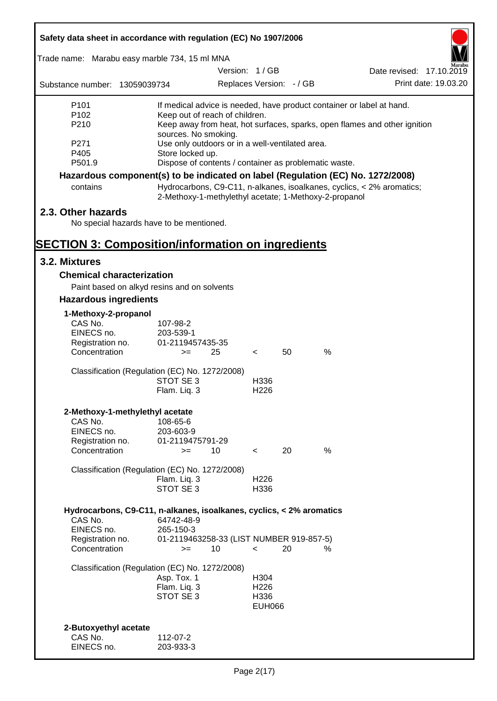| Safety data sheet in accordance with regulation (EC) No 1907/2006               |                          |                                                                                                   |                          |    |      |                                                                       |  |  |
|---------------------------------------------------------------------------------|--------------------------|---------------------------------------------------------------------------------------------------|--------------------------|----|------|-----------------------------------------------------------------------|--|--|
| Trade name: Marabu easy marble 734, 15 ml MNA                                   |                          |                                                                                                   |                          |    |      |                                                                       |  |  |
|                                                                                 |                          |                                                                                                   | Version: 1/GB            |    |      | Date revised: 17.10.2019                                              |  |  |
| Substance number: 13059039734                                                   |                          |                                                                                                   | Replaces Version: - / GB |    |      | Print date: 19.03.20                                                  |  |  |
| P <sub>101</sub>                                                                |                          |                                                                                                   |                          |    |      | If medical advice is needed, have product container or label at hand. |  |  |
| P <sub>102</sub>                                                                |                          | Keep out of reach of children.                                                                    |                          |    |      |                                                                       |  |  |
| P210                                                                            |                          | Keep away from heat, hot surfaces, sparks, open flames and other ignition<br>sources. No smoking. |                          |    |      |                                                                       |  |  |
| P271                                                                            |                          | Use only outdoors or in a well-ventilated area.                                                   |                          |    |      |                                                                       |  |  |
| P405                                                                            | Store locked up.         |                                                                                                   |                          |    |      |                                                                       |  |  |
| P501.9                                                                          |                          | Dispose of contents / container as problematic waste.                                             |                          |    |      |                                                                       |  |  |
| Hazardous component(s) to be indicated on label (Regulation (EC) No. 1272/2008) |                          |                                                                                                   |                          |    |      |                                                                       |  |  |
| contains                                                                        |                          | 2-Methoxy-1-methylethyl acetate; 1-Methoxy-2-propanol                                             |                          |    |      | Hydrocarbons, C9-C11, n-alkanes, isoalkanes, cyclics, < 2% aromatics; |  |  |
| 2.3. Other hazards                                                              |                          |                                                                                                   |                          |    |      |                                                                       |  |  |
| No special hazards have to be mentioned.                                        |                          |                                                                                                   |                          |    |      |                                                                       |  |  |
|                                                                                 |                          |                                                                                                   |                          |    |      |                                                                       |  |  |
| <b>SECTION 3: Composition/information on ingredients</b>                        |                          |                                                                                                   |                          |    |      |                                                                       |  |  |
| 3.2. Mixtures                                                                   |                          |                                                                                                   |                          |    |      |                                                                       |  |  |
| <b>Chemical characterization</b>                                                |                          |                                                                                                   |                          |    |      |                                                                       |  |  |
| Paint based on alkyd resins and on solvents                                     |                          |                                                                                                   |                          |    |      |                                                                       |  |  |
| <b>Hazardous ingredients</b>                                                    |                          |                                                                                                   |                          |    |      |                                                                       |  |  |
| 1-Methoxy-2-propanol                                                            |                          |                                                                                                   |                          |    |      |                                                                       |  |  |
| CAS No.                                                                         | 107-98-2                 |                                                                                                   |                          |    |      |                                                                       |  |  |
| EINECS no.                                                                      | 203-539-1                |                                                                                                   |                          |    |      |                                                                       |  |  |
| Registration no.<br>Concentration                                               | 01-2119457435-35<br>$>=$ | 25                                                                                                | $\lt$                    | 50 | $\%$ |                                                                       |  |  |
|                                                                                 |                          |                                                                                                   |                          |    |      |                                                                       |  |  |
| Classification (Regulation (EC) No. 1272/2008)                                  |                          |                                                                                                   |                          |    |      |                                                                       |  |  |
|                                                                                 | STOT SE 3                |                                                                                                   | H336                     |    |      |                                                                       |  |  |
|                                                                                 | Flam. Liq. 3             |                                                                                                   | H <sub>226</sub>         |    |      |                                                                       |  |  |
| 2-Methoxy-1-methylethyl acetate                                                 |                          |                                                                                                   |                          |    |      |                                                                       |  |  |
| CAS No.                                                                         | 108-65-6                 |                                                                                                   |                          |    |      |                                                                       |  |  |
| EINECS no.                                                                      | 203-603-9                |                                                                                                   |                          |    |      |                                                                       |  |  |
| Registration no.                                                                | 01-2119475791-29         |                                                                                                   |                          |    |      |                                                                       |  |  |
| Concentration                                                                   | $>=$                     | 10                                                                                                | $\prec$                  | 20 | %    |                                                                       |  |  |
| Classification (Regulation (EC) No. 1272/2008)                                  |                          |                                                                                                   |                          |    |      |                                                                       |  |  |
|                                                                                 | Flam. Liq. 3             |                                                                                                   | H <sub>226</sub>         |    |      |                                                                       |  |  |
|                                                                                 | STOT SE 3                |                                                                                                   | H336                     |    |      |                                                                       |  |  |
|                                                                                 |                          |                                                                                                   |                          |    |      |                                                                       |  |  |
| Hydrocarbons, C9-C11, n-alkanes, isoalkanes, cyclics, < 2% aromatics<br>CAS No. | 64742-48-9               |                                                                                                   |                          |    |      |                                                                       |  |  |
| EINECS no.                                                                      | 265-150-3                |                                                                                                   |                          |    |      |                                                                       |  |  |
| Registration no.                                                                |                          | 01-2119463258-33 (LIST NUMBER 919-857-5)                                                          |                          |    |      |                                                                       |  |  |
| Concentration                                                                   | $>=$                     | 10                                                                                                | $\prec$                  | 20 | %    |                                                                       |  |  |
| Classification (Regulation (EC) No. 1272/2008)                                  |                          |                                                                                                   |                          |    |      |                                                                       |  |  |
|                                                                                 | Asp. Tox. 1              |                                                                                                   | H304                     |    |      |                                                                       |  |  |
|                                                                                 | Flam. Liq. 3             |                                                                                                   | H <sub>226</sub>         |    |      |                                                                       |  |  |
|                                                                                 | STOT SE 3                |                                                                                                   | H336                     |    |      |                                                                       |  |  |
|                                                                                 |                          |                                                                                                   | <b>EUH066</b>            |    |      |                                                                       |  |  |
| 2-Butoxyethyl acetate                                                           |                          |                                                                                                   |                          |    |      |                                                                       |  |  |
| CAS No.                                                                         | 112-07-2                 |                                                                                                   |                          |    |      |                                                                       |  |  |
| EINECS no.                                                                      | 203-933-3                |                                                                                                   |                          |    |      |                                                                       |  |  |
|                                                                                 |                          |                                                                                                   |                          |    |      |                                                                       |  |  |

ī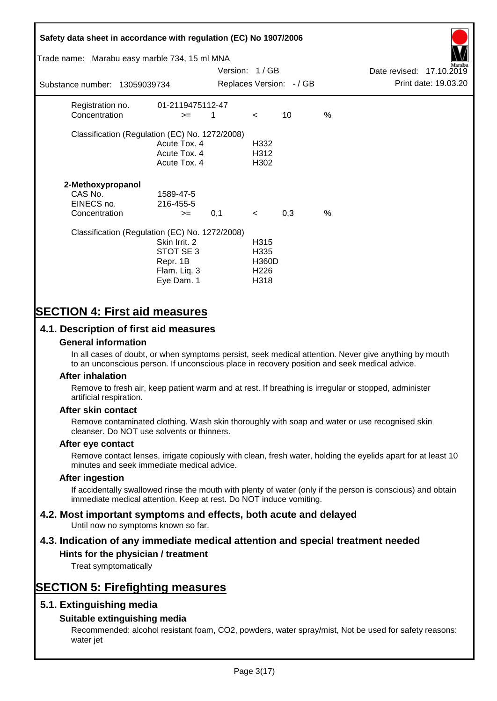# **Safety data sheet in accordance with regulation (EC) No 1907/2006** Substance number: 13059039734 Version: 1 / GB Replaces Version:  $-$  / GB Print date: 19.03.20 Date revised: 17.10.2019 Trade name: Marabu easy marble 734, 15 ml MNA Registration no. 01-2119475112-47  $\text{Concentration}$   $\geq$  1 < 10 % Classification (Regulation (EC) No. 1272/2008) Acute Tox. 4 H332 Acute Tox. 4 H312 Acute Tox. 4 H302 **2-Methoxypropanol** CAS No. 1589-47-5 EINECS no. 216-455-5  $\text{Concentration}$   $\rightarrow$  0.1 < 0.3 % Classification (Regulation (EC) No. 1272/2008) Skin Irrit. 2 H315 STOT SE 3 H335 Repr. 1B H360D Flam. Liq. 3 H226 Eye Dam. 1 H318

# **SECTION 4: First aid measures**

## **4.1. Description of first aid measures**

#### **General information**

In all cases of doubt, or when symptoms persist, seek medical attention. Never give anything by mouth to an unconscious person. If unconscious place in recovery position and seek medical advice.

#### **After inhalation**

Remove to fresh air, keep patient warm and at rest. If breathing is irregular or stopped, administer artificial respiration.

#### **After skin contact**

Remove contaminated clothing. Wash skin thoroughly with soap and water or use recognised skin cleanser. Do NOT use solvents or thinners.

#### **After eye contact**

Remove contact lenses, irrigate copiously with clean, fresh water, holding the eyelids apart for at least 10 minutes and seek immediate medical advice.

#### **After ingestion**

If accidentally swallowed rinse the mouth with plenty of water (only if the person is conscious) and obtain immediate medical attention. Keep at rest. Do NOT induce vomiting.

# **4.2. Most important symptoms and effects, both acute and delayed**

Until now no symptoms known so far.

# **4.3. Indication of any immediate medical attention and special treatment needed**

#### **Hints for the physician / treatment**

Treat symptomatically

# **SECTION 5: Firefighting measures**

## **5.1. Extinguishing media**

## **Suitable extinguishing media**

Recommended: alcohol resistant foam, CO2, powders, water spray/mist, Not be used for safety reasons: water jet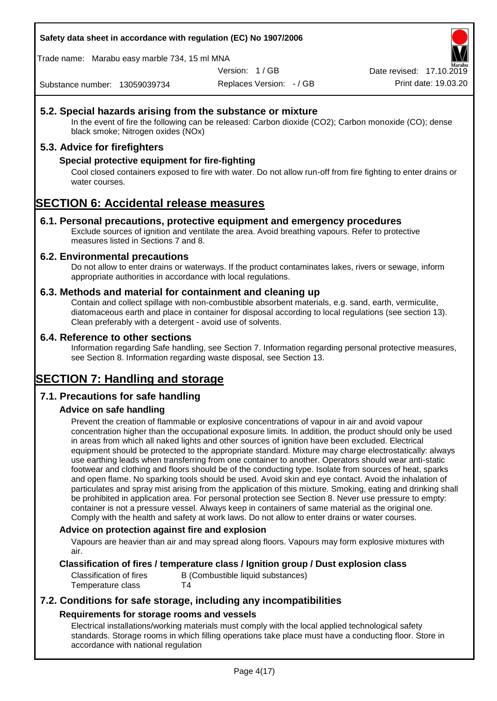**Safety data sheet in accordance with regulation (EC) No 1907/2006**

Trade name: Marabu easy marble 734, 15 ml MNA

Version: 1 / GB

Replaces Version: - / GB Print date: 19.03.20 Date revised: 17.10.2

Substance number: 13059039734

## **5.2. Special hazards arising from the substance or mixture**

In the event of fire the following can be released: Carbon dioxide (CO2); Carbon monoxide (CO); dense black smoke; Nitrogen oxides (NOx)

## **5.3. Advice for firefighters**

### **Special protective equipment for fire-fighting**

Cool closed containers exposed to fire with water. Do not allow run-off from fire fighting to enter drains or water courses.

# **SECTION 6: Accidental release measures**

#### **6.1. Personal precautions, protective equipment and emergency procedures**

Exclude sources of ignition and ventilate the area. Avoid breathing vapours. Refer to protective measures listed in Sections 7 and 8.

#### **6.2. Environmental precautions**

Do not allow to enter drains or waterways. If the product contaminates lakes, rivers or sewage, inform appropriate authorities in accordance with local regulations.

#### **6.3. Methods and material for containment and cleaning up**

Contain and collect spillage with non-combustible absorbent materials, e.g. sand, earth, vermiculite, diatomaceous earth and place in container for disposal according to local regulations (see section 13). Clean preferably with a detergent - avoid use of solvents.

#### **6.4. Reference to other sections**

Information regarding Safe handling, see Section 7. Information regarding personal protective measures, see Section 8. Information regarding waste disposal, see Section 13.

# **SECTION 7: Handling and storage**

## **7.1. Precautions for safe handling**

## **Advice on safe handling**

Prevent the creation of flammable or explosive concentrations of vapour in air and avoid vapour concentration higher than the occupational exposure limits. In addition, the product should only be used in areas from which all naked lights and other sources of ignition have been excluded. Electrical equipment should be protected to the appropriate standard. Mixture may charge electrostatically: always use earthing leads when transferring from one container to another. Operators should wear anti-static footwear and clothing and floors should be of the conducting type. Isolate from sources of heat, sparks and open flame. No sparking tools should be used. Avoid skin and eye contact. Avoid the inhalation of particulates and spray mist arising from the application of this mixture. Smoking, eating and drinking shall be prohibited in application area. For personal protection see Section 8. Never use pressure to empty: container is not a pressure vessel. Always keep in containers of same material as the original one. Comply with the health and safety at work laws. Do not allow to enter drains or water courses.

#### **Advice on protection against fire and explosion**

Vapours are heavier than air and may spread along floors. Vapours may form explosive mixtures with air.

#### **Classification of fires / temperature class / Ignition group / Dust explosion class**

Classification of fires B (Combustible liquid substances) Temperature class T4

## **7.2. Conditions for safe storage, including any incompatibilities Requirements for storage rooms and vessels**

Electrical installations/working materials must comply with the local applied technological safety standards. Storage rooms in which filling operations take place must have a conducting floor. Store in accordance with national regulation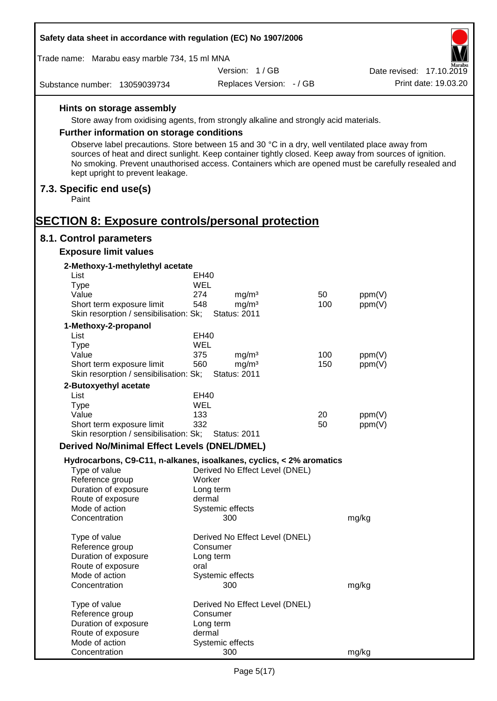| Safety data sheet in accordance with regulation (EC) No 1907/2006                                                                                                                                                                                  |                                 |     |                          |
|----------------------------------------------------------------------------------------------------------------------------------------------------------------------------------------------------------------------------------------------------|---------------------------------|-----|--------------------------|
| Trade name: Marabu easy marble 734, 15 ml MNA                                                                                                                                                                                                      |                                 |     |                          |
|                                                                                                                                                                                                                                                    | Version: 1/GB                   |     | Date revised: 17.10.2019 |
| Substance number: 13059039734                                                                                                                                                                                                                      | Replaces Version: - / GB        |     | Print date: 19.03.20     |
| Hints on storage assembly                                                                                                                                                                                                                          |                                 |     |                          |
| Store away from oxidising agents, from strongly alkaline and strongly acid materials.                                                                                                                                                              |                                 |     |                          |
| Further information on storage conditions                                                                                                                                                                                                          |                                 |     |                          |
| Observe label precautions. Store between 15 and 30 °C in a dry, well ventilated place away from                                                                                                                                                    |                                 |     |                          |
| sources of heat and direct sunlight. Keep container tightly closed. Keep away from sources of ignition.<br>No smoking. Prevent unauthorised access. Containers which are opened must be carefully resealed and<br>kept upright to prevent leakage. |                                 |     |                          |
| 7.3. Specific end use(s)<br>Paint                                                                                                                                                                                                                  |                                 |     |                          |
|                                                                                                                                                                                                                                                    |                                 |     |                          |
| <b>SECTION 8: Exposure controls/personal protection</b>                                                                                                                                                                                            |                                 |     |                          |
| 8.1. Control parameters<br><b>Exposure limit values</b>                                                                                                                                                                                            |                                 |     |                          |
|                                                                                                                                                                                                                                                    |                                 |     |                          |
| 2-Methoxy-1-methylethyl acetate<br>List                                                                                                                                                                                                            | EH40                            |     |                          |
| <b>Type</b>                                                                                                                                                                                                                                        | WEL                             |     |                          |
| Value                                                                                                                                                                                                                                              | 274<br>mg/m <sup>3</sup>        | 50  | ppm(V)                   |
| Short term exposure limit                                                                                                                                                                                                                          | 548<br>mg/m <sup>3</sup>        | 100 | ppm(V)                   |
| Skin resorption / sensibilisation: Sk;                                                                                                                                                                                                             | <b>Status: 2011</b>             |     |                          |
| 1-Methoxy-2-propanol                                                                                                                                                                                                                               |                                 |     |                          |
| List                                                                                                                                                                                                                                               | <b>EH40</b>                     |     |                          |
| <b>Type</b><br>Value                                                                                                                                                                                                                               | WEL<br>375<br>mg/m <sup>3</sup> | 100 | ppm(V)                   |
| Short term exposure limit                                                                                                                                                                                                                          | 560<br>mg/m <sup>3</sup>        | 150 | ppm(V)                   |
| Skin resorption / sensibilisation: Sk;                                                                                                                                                                                                             | <b>Status: 2011</b>             |     |                          |
| 2-Butoxyethyl acetate                                                                                                                                                                                                                              |                                 |     |                          |
| List                                                                                                                                                                                                                                               | EH40                            |     |                          |
| Type                                                                                                                                                                                                                                               | WEL                             |     |                          |
| Value                                                                                                                                                                                                                                              | 133                             | 20  | ppm(V)                   |
| Short term exposure limit<br>Skin resorption / sensibilisation: Sk;                                                                                                                                                                                | 332<br><b>Status: 2011</b>      | 50  | ppm(V)                   |
|                                                                                                                                                                                                                                                    |                                 |     |                          |
| <b>Derived No/Minimal Effect Levels (DNEL/DMEL)</b>                                                                                                                                                                                                |                                 |     |                          |
| Hydrocarbons, C9-C11, n-alkanes, isoalkanes, cyclics, < 2% aromatics<br>Type of value                                                                                                                                                              | Derived No Effect Level (DNEL)  |     |                          |
| Reference group                                                                                                                                                                                                                                    | Worker                          |     |                          |
| Duration of exposure                                                                                                                                                                                                                               | Long term                       |     |                          |
| Route of exposure                                                                                                                                                                                                                                  | dermal                          |     |                          |
| Mode of action                                                                                                                                                                                                                                     | Systemic effects                |     |                          |
| Concentration                                                                                                                                                                                                                                      | 300                             |     | mg/kg                    |
| Type of value                                                                                                                                                                                                                                      | Derived No Effect Level (DNEL)  |     |                          |
| Reference group                                                                                                                                                                                                                                    | Consumer                        |     |                          |
| Duration of exposure                                                                                                                                                                                                                               | Long term                       |     |                          |
| Route of exposure                                                                                                                                                                                                                                  | oral                            |     |                          |
| Mode of action<br>Concentration                                                                                                                                                                                                                    | Systemic effects<br>300         |     | mg/kg                    |
|                                                                                                                                                                                                                                                    |                                 |     |                          |
| Type of value                                                                                                                                                                                                                                      | Derived No Effect Level (DNEL)  |     |                          |
| Reference group                                                                                                                                                                                                                                    | Consumer                        |     |                          |
| Duration of exposure                                                                                                                                                                                                                               | Long term                       |     |                          |
| Route of exposure                                                                                                                                                                                                                                  | dermal                          |     |                          |
| Mode of action                                                                                                                                                                                                                                     | Systemic effects                |     |                          |
| Concentration                                                                                                                                                                                                                                      | 300                             |     | mg/kg                    |

Г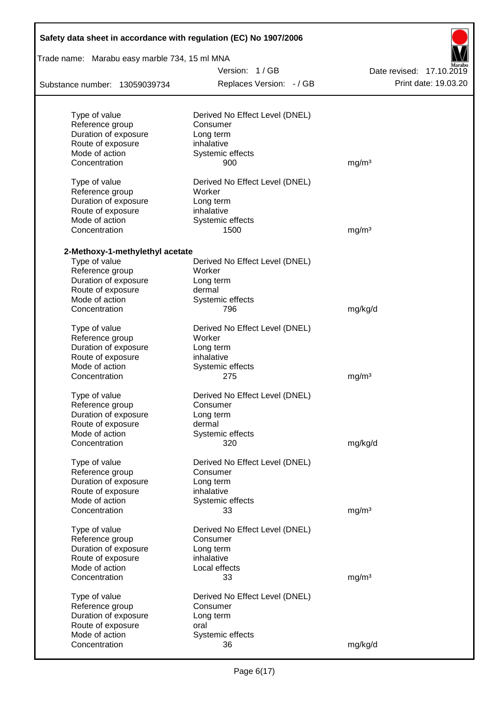| Safety data sheet in accordance with regulation (EC) No 1907/2006<br>Trade name: Marabu easy marble 734, 15 ml MNA |                                |                          |  |  |  |  |
|--------------------------------------------------------------------------------------------------------------------|--------------------------------|--------------------------|--|--|--|--|
|                                                                                                                    | Version: 1/GB                  | Date revised: 17.10.2019 |  |  |  |  |
| Substance number: 13059039734                                                                                      | Replaces Version: - / GB       | Print date: 19.03.20     |  |  |  |  |
|                                                                                                                    |                                |                          |  |  |  |  |
| Type of value                                                                                                      | Derived No Effect Level (DNEL) |                          |  |  |  |  |
| Reference group                                                                                                    | Consumer                       |                          |  |  |  |  |
| Duration of exposure                                                                                               | Long term                      |                          |  |  |  |  |
| Route of exposure                                                                                                  | inhalative                     |                          |  |  |  |  |
| Mode of action                                                                                                     | Systemic effects               |                          |  |  |  |  |
| Concentration                                                                                                      | 900                            | mg/m <sup>3</sup>        |  |  |  |  |
| Type of value                                                                                                      | Derived No Effect Level (DNEL) |                          |  |  |  |  |
| Reference group                                                                                                    | Worker                         |                          |  |  |  |  |
| Duration of exposure                                                                                               | Long term                      |                          |  |  |  |  |
| Route of exposure                                                                                                  | inhalative                     |                          |  |  |  |  |
| Mode of action                                                                                                     | Systemic effects               |                          |  |  |  |  |
| Concentration                                                                                                      | 1500                           | mg/m <sup>3</sup>        |  |  |  |  |
| 2-Methoxy-1-methylethyl acetate                                                                                    |                                |                          |  |  |  |  |
| Type of value                                                                                                      | Derived No Effect Level (DNEL) |                          |  |  |  |  |
| Reference group                                                                                                    | Worker                         |                          |  |  |  |  |
| Duration of exposure                                                                                               | Long term                      |                          |  |  |  |  |
| Route of exposure                                                                                                  | dermal                         |                          |  |  |  |  |
| Mode of action                                                                                                     | Systemic effects               |                          |  |  |  |  |
| Concentration                                                                                                      | 796                            | mg/kg/d                  |  |  |  |  |
| Type of value                                                                                                      | Derived No Effect Level (DNEL) |                          |  |  |  |  |
| Reference group                                                                                                    | Worker                         |                          |  |  |  |  |
| Duration of exposure                                                                                               | Long term                      |                          |  |  |  |  |
| Route of exposure                                                                                                  | inhalative                     |                          |  |  |  |  |
| Mode of action                                                                                                     | Systemic effects               |                          |  |  |  |  |
| Concentration                                                                                                      | 275                            | mg/m <sup>3</sup>        |  |  |  |  |
| Type of value                                                                                                      | Derived No Effect Level (DNEL) |                          |  |  |  |  |
| Reference group                                                                                                    | Consumer                       |                          |  |  |  |  |
| Duration of exposure                                                                                               | Long term                      |                          |  |  |  |  |
| Route of exposure                                                                                                  | dermal                         |                          |  |  |  |  |
| Mode of action                                                                                                     | Systemic effects               |                          |  |  |  |  |
| Concentration                                                                                                      | 320                            | mg/kg/d                  |  |  |  |  |
|                                                                                                                    |                                |                          |  |  |  |  |
| Type of value                                                                                                      | Derived No Effect Level (DNEL) |                          |  |  |  |  |
| Reference group                                                                                                    | Consumer                       |                          |  |  |  |  |
| Duration of exposure                                                                                               | Long term                      |                          |  |  |  |  |
| Route of exposure                                                                                                  | inhalative                     |                          |  |  |  |  |
| Mode of action                                                                                                     | Systemic effects               |                          |  |  |  |  |
| Concentration                                                                                                      | 33                             | mg/m <sup>3</sup>        |  |  |  |  |
| Type of value                                                                                                      | Derived No Effect Level (DNEL) |                          |  |  |  |  |
| Reference group                                                                                                    | Consumer                       |                          |  |  |  |  |
| Duration of exposure                                                                                               | Long term                      |                          |  |  |  |  |
| Route of exposure                                                                                                  | inhalative                     |                          |  |  |  |  |
| Mode of action                                                                                                     | Local effects                  |                          |  |  |  |  |
| Concentration                                                                                                      | 33                             | mg/m <sup>3</sup>        |  |  |  |  |
| Type of value                                                                                                      | Derived No Effect Level (DNEL) |                          |  |  |  |  |
| Reference group                                                                                                    | Consumer                       |                          |  |  |  |  |
| Duration of exposure                                                                                               | Long term                      |                          |  |  |  |  |
| Route of exposure                                                                                                  | oral                           |                          |  |  |  |  |
| Mode of action                                                                                                     | Systemic effects               |                          |  |  |  |  |
| Concentration                                                                                                      | 36                             | mg/kg/d                  |  |  |  |  |
|                                                                                                                    |                                |                          |  |  |  |  |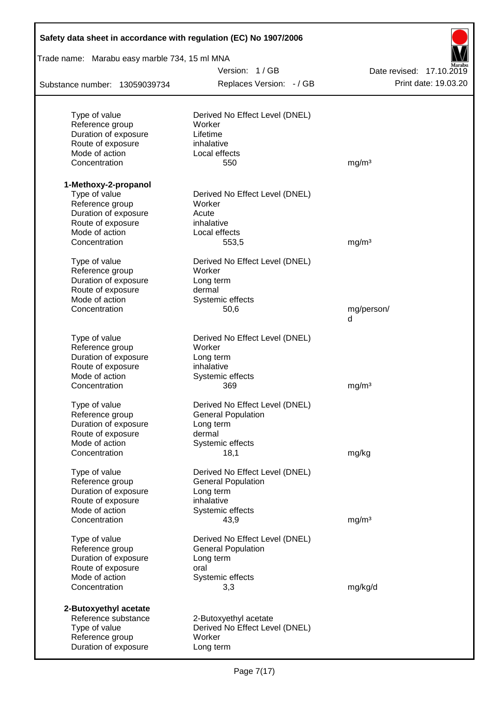| Safety data sheet in accordance with regulation (EC) No 1907/2006 |                                                             |                          |
|-------------------------------------------------------------------|-------------------------------------------------------------|--------------------------|
| Trade name: Marabu easy marble 734, 15 ml MNA                     |                                                             |                          |
|                                                                   | Version: 1/GB                                               | Date revised: 17.10.2019 |
| Substance number: 13059039734                                     | Replaces Version: - / GB                                    | Print date: 19.03.20     |
|                                                                   |                                                             |                          |
| Type of value<br>Reference group                                  | Derived No Effect Level (DNEL)<br>Worker                    |                          |
| Duration of exposure                                              | Lifetime                                                    |                          |
| Route of exposure                                                 | inhalative                                                  |                          |
| Mode of action                                                    | Local effects                                               |                          |
| Concentration                                                     | 550                                                         | mg/m <sup>3</sup>        |
| 1-Methoxy-2-propanol                                              |                                                             |                          |
| Type of value                                                     | Derived No Effect Level (DNEL)                              |                          |
| Reference group                                                   | Worker                                                      |                          |
| Duration of exposure                                              | Acute                                                       |                          |
| Route of exposure                                                 | inhalative                                                  |                          |
| Mode of action                                                    | Local effects                                               |                          |
| Concentration                                                     | 553,5                                                       | mg/m <sup>3</sup>        |
| Type of value                                                     | Derived No Effect Level (DNEL)                              |                          |
| Reference group                                                   | Worker                                                      |                          |
| Duration of exposure                                              | Long term                                                   |                          |
| Route of exposure                                                 | dermal                                                      |                          |
| Mode of action                                                    | Systemic effects                                            |                          |
| Concentration                                                     | 50,6                                                        | mg/person/<br>d          |
|                                                                   |                                                             |                          |
| Type of value                                                     | Derived No Effect Level (DNEL)<br>Worker                    |                          |
| Reference group<br>Duration of exposure                           |                                                             |                          |
| Route of exposure                                                 | Long term<br>inhalative                                     |                          |
| Mode of action                                                    | Systemic effects                                            |                          |
| Concentration                                                     | 369                                                         | mg/m <sup>3</sup>        |
|                                                                   |                                                             |                          |
| Type of value<br>Reference group                                  | Derived No Effect Level (DNEL)<br><b>General Population</b> |                          |
| Duration of exposure                                              | Long term                                                   |                          |
| Route of exposure                                                 | dermal                                                      |                          |
| Mode of action                                                    | Systemic effects                                            |                          |
| Concentration                                                     | 18,1                                                        | mg/kg                    |
| Type of value                                                     | Derived No Effect Level (DNEL)                              |                          |
| Reference group                                                   | <b>General Population</b>                                   |                          |
| Duration of exposure                                              | Long term                                                   |                          |
| Route of exposure                                                 | inhalative                                                  |                          |
| Mode of action                                                    | Systemic effects                                            |                          |
| Concentration                                                     | 43,9                                                        | mg/m <sup>3</sup>        |
| Type of value                                                     | Derived No Effect Level (DNEL)                              |                          |
| Reference group                                                   | <b>General Population</b>                                   |                          |
| Duration of exposure                                              | Long term                                                   |                          |
| Route of exposure                                                 | oral                                                        |                          |
| Mode of action                                                    | Systemic effects                                            |                          |
| Concentration                                                     | 3,3                                                         | mg/kg/d                  |
| 2-Butoxyethyl acetate                                             |                                                             |                          |
| Reference substance                                               | 2-Butoxyethyl acetate                                       |                          |
| Type of value                                                     | Derived No Effect Level (DNEL)                              |                          |
| Reference group                                                   | Worker                                                      |                          |
| Duration of exposure                                              | Long term                                                   |                          |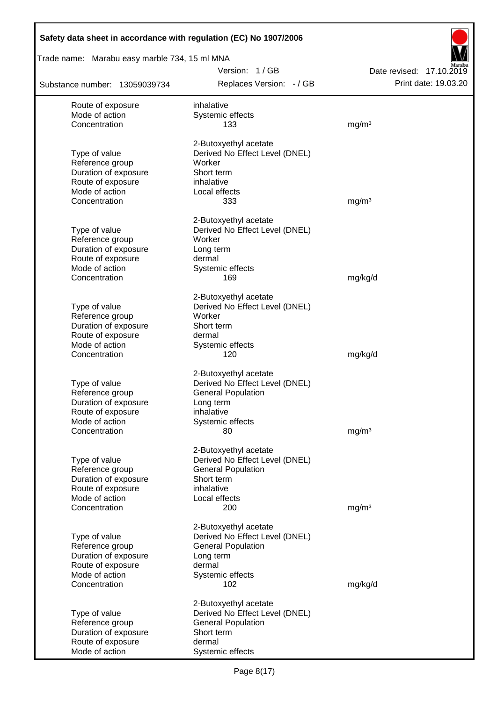| Safety data sheet in accordance with regulation (EC) No 1907/2006 |                                                         |                          |
|-------------------------------------------------------------------|---------------------------------------------------------|--------------------------|
| Trade name: Marabu easy marble 734, 15 ml MNA                     |                                                         |                          |
|                                                                   | Version: 1/GB                                           | Date revised: 17.10.2019 |
| Substance number: 13059039734                                     | Replaces Version: - / GB                                | Print date: 19.03.20     |
| Route of exposure                                                 | inhalative                                              |                          |
| Mode of action                                                    | Systemic effects                                        |                          |
| Concentration                                                     | 133                                                     | mg/m <sup>3</sup>        |
|                                                                   | 2-Butoxyethyl acetate                                   |                          |
| Type of value                                                     | Derived No Effect Level (DNEL)                          |                          |
| Reference group                                                   | Worker                                                  |                          |
| Duration of exposure<br>Route of exposure                         | Short term<br>inhalative                                |                          |
| Mode of action                                                    | Local effects                                           |                          |
| Concentration                                                     | 333                                                     | mg/m <sup>3</sup>        |
|                                                                   | 2-Butoxyethyl acetate                                   |                          |
| Type of value                                                     | Derived No Effect Level (DNEL)                          |                          |
| Reference group                                                   | Worker                                                  |                          |
| Duration of exposure                                              | Long term                                               |                          |
| Route of exposure                                                 | dermal                                                  |                          |
| Mode of action<br>Concentration                                   | Systemic effects<br>169                                 | mg/kg/d                  |
|                                                                   |                                                         |                          |
|                                                                   | 2-Butoxyethyl acetate                                   |                          |
| Type of value                                                     | Derived No Effect Level (DNEL)                          |                          |
| Reference group                                                   | Worker                                                  |                          |
| Duration of exposure<br>Route of exposure                         | Short term<br>dermal                                    |                          |
| Mode of action                                                    | Systemic effects                                        |                          |
| Concentration                                                     | 120                                                     | mg/kg/d                  |
|                                                                   | 2-Butoxyethyl acetate                                   |                          |
| Type of value                                                     | Derived No Effect Level (DNEL)                          |                          |
| Reference group                                                   | <b>General Population</b>                               |                          |
| Duration of exposure                                              | Long term                                               |                          |
| Route of exposure<br>Mode of action                               | inhalative<br>Systemic effects                          |                          |
| Concentration                                                     | 80                                                      | mg/m <sup>3</sup>        |
|                                                                   |                                                         |                          |
| Type of value                                                     | 2-Butoxyethyl acetate<br>Derived No Effect Level (DNEL) |                          |
| Reference group                                                   | <b>General Population</b>                               |                          |
| Duration of exposure                                              | Short term                                              |                          |
| Route of exposure                                                 | inhalative                                              |                          |
| Mode of action                                                    | Local effects                                           |                          |
| Concentration                                                     | 200                                                     | mg/m <sup>3</sup>        |
|                                                                   | 2-Butoxyethyl acetate                                   |                          |
| Type of value                                                     | Derived No Effect Level (DNEL)                          |                          |
| Reference group<br>Duration of exposure                           | <b>General Population</b><br>Long term                  |                          |
| Route of exposure                                                 | dermal                                                  |                          |
| Mode of action                                                    | Systemic effects                                        |                          |
| Concentration                                                     | 102                                                     | mg/kg/d                  |
|                                                                   | 2-Butoxyethyl acetate                                   |                          |
| Type of value                                                     | Derived No Effect Level (DNEL)                          |                          |
| Reference group                                                   | <b>General Population</b>                               |                          |
| Duration of exposure                                              | Short term<br>dermal                                    |                          |
| Route of exposure<br>Mode of action                               | Systemic effects                                        |                          |
|                                                                   |                                                         |                          |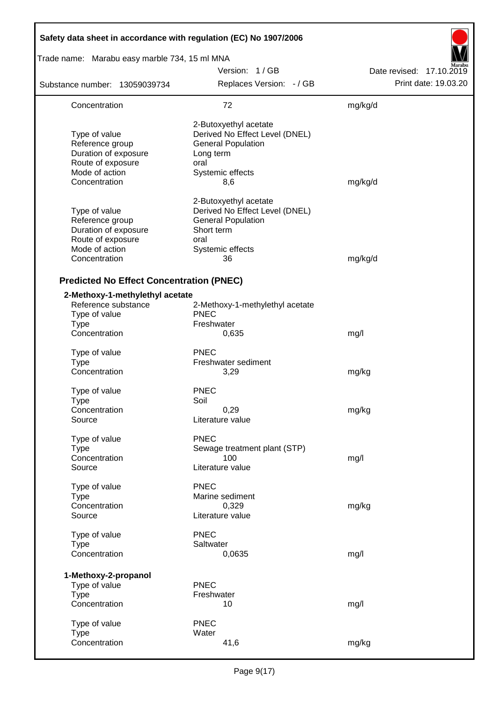| Safety data sheet in accordance with regulation (EC) No 1907/2006                                                |                                                                                                                                      |                          |  |  |  |  |
|------------------------------------------------------------------------------------------------------------------|--------------------------------------------------------------------------------------------------------------------------------------|--------------------------|--|--|--|--|
| Trade name: Marabu easy marble 734, 15 ml MNA                                                                    |                                                                                                                                      |                          |  |  |  |  |
|                                                                                                                  | Version: 1/GB                                                                                                                        | Date revised: 17.10.2019 |  |  |  |  |
| Substance number: 13059039734                                                                                    | Replaces Version: - / GB                                                                                                             | Print date: 19.03.20     |  |  |  |  |
| Concentration                                                                                                    | 72                                                                                                                                   | mg/kg/d                  |  |  |  |  |
| Type of value<br>Reference group<br>Duration of exposure<br>Route of exposure<br>Mode of action<br>Concentration | 2-Butoxyethyl acetate<br>Derived No Effect Level (DNEL)<br><b>General Population</b><br>Long term<br>oral<br>Systemic effects<br>8,6 | mg/kg/d                  |  |  |  |  |
| Type of value<br>Reference group<br>Duration of exposure<br>Route of exposure<br>Mode of action<br>Concentration | 2-Butoxyethyl acetate<br>Derived No Effect Level (DNEL)<br><b>General Population</b><br>Short term<br>oral<br>Systemic effects<br>36 | mg/kg/d                  |  |  |  |  |
| <b>Predicted No Effect Concentration (PNEC)</b>                                                                  |                                                                                                                                      |                          |  |  |  |  |
| 2-Methoxy-1-methylethyl acetate<br>Reference substance<br>Type of value<br><b>Type</b><br>Concentration          | 2-Methoxy-1-methylethyl acetate<br><b>PNEC</b><br>Freshwater<br>0,635                                                                | mg/l                     |  |  |  |  |
| Type of value<br><b>Type</b><br>Concentration                                                                    | <b>PNEC</b><br>Freshwater sediment<br>3,29                                                                                           | mg/kg                    |  |  |  |  |
| Type of value<br>Type<br>Concentration<br>Source                                                                 | <b>PNEC</b><br>Soil<br>0,29<br>Literature value                                                                                      | mg/kg                    |  |  |  |  |
| Type of value<br><b>Type</b><br>Concentration<br>Source                                                          | <b>PNEC</b><br>Sewage treatment plant (STP)<br>100<br>Literature value                                                               | mg/l                     |  |  |  |  |
| Type of value<br><b>Type</b><br>Concentration<br>Source                                                          | <b>PNEC</b><br>Marine sediment<br>0,329<br>Literature value                                                                          | mg/kg                    |  |  |  |  |
| Type of value<br><b>Type</b><br>Concentration                                                                    | <b>PNEC</b><br>Saltwater<br>0,0635                                                                                                   | mg/l                     |  |  |  |  |
| 1-Methoxy-2-propanol<br>Type of value<br><b>Type</b><br>Concentration                                            | <b>PNEC</b><br>Freshwater<br>10                                                                                                      | mg/l                     |  |  |  |  |
| Type of value<br><b>Type</b><br>Concentration                                                                    | <b>PNEC</b><br>Water<br>41,6                                                                                                         | mg/kg                    |  |  |  |  |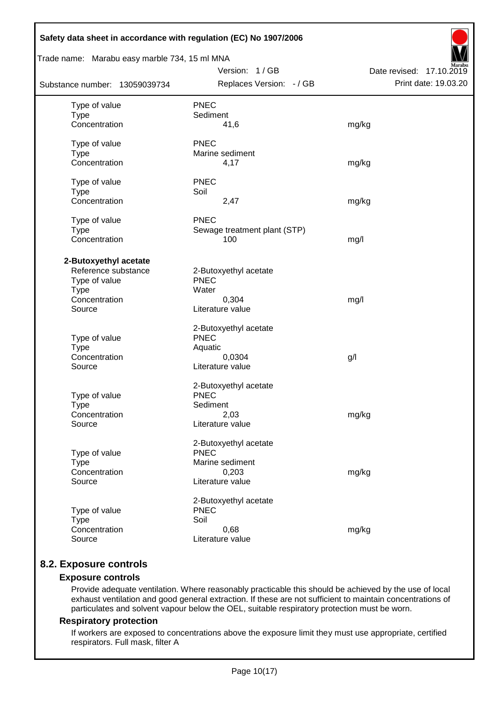| Safety data sheet in accordance with regulation (EC) No 1907/2006                                       |                                                                                      |                                                  |  |  |  |  |  |
|---------------------------------------------------------------------------------------------------------|--------------------------------------------------------------------------------------|--------------------------------------------------|--|--|--|--|--|
| Trade name: Marabu easy marble 734, 15 ml MNA                                                           |                                                                                      |                                                  |  |  |  |  |  |
| Substance number: 13059039734                                                                           | Version: 1/GB<br>Replaces Version: - / GB                                            | Date revised: 17.10.2019<br>Print date: 19.03.20 |  |  |  |  |  |
| Type of value<br><b>Type</b><br>Concentration                                                           | <b>PNEC</b><br>Sediment<br>41,6                                                      | mg/kg                                            |  |  |  |  |  |
| Type of value<br><b>Type</b><br>Concentration                                                           | <b>PNEC</b><br>Marine sediment<br>4,17                                               | mg/kg                                            |  |  |  |  |  |
| Type of value<br><b>Type</b><br>Concentration                                                           | <b>PNEC</b><br>Soil<br>2,47                                                          | mg/kg                                            |  |  |  |  |  |
| Type of value<br><b>Type</b><br>Concentration                                                           | <b>PNEC</b><br>Sewage treatment plant (STP)<br>100                                   | mg/l                                             |  |  |  |  |  |
| 2-Butoxyethyl acetate<br>Reference substance<br>Type of value<br><b>Type</b><br>Concentration<br>Source | 2-Butoxyethyl acetate<br><b>PNEC</b><br>Water<br>0,304<br>Literature value           | mg/l                                             |  |  |  |  |  |
| Type of value<br><b>Type</b><br>Concentration<br>Source                                                 | 2-Butoxyethyl acetate<br><b>PNEC</b><br>Aquatic<br>0,0304<br>Literature value        | g/l                                              |  |  |  |  |  |
| Type of value<br>Type<br>Concentration<br>Source                                                        | 2-Butoxyethyl acetate<br><b>PNEC</b><br>Sediment<br>2,03<br>Literature value         | mg/kg                                            |  |  |  |  |  |
| Type of value<br><b>Type</b><br>Concentration<br>Source                                                 | 2-Butoxyethyl acetate<br><b>PNEC</b><br>Marine sediment<br>0,203<br>Literature value | mg/kg                                            |  |  |  |  |  |
| Type of value<br><b>Type</b><br>Concentration<br>Source                                                 | 2-Butoxyethyl acetate<br><b>PNEC</b><br>Soil<br>0,68<br>Literature value             | mg/kg                                            |  |  |  |  |  |

# **8.2. Exposure controls**

## **Exposure controls**

Provide adequate ventilation. Where reasonably practicable this should be achieved by the use of local exhaust ventilation and good general extraction. If these are not sufficient to maintain concentrations of particulates and solvent vapour below the OEL, suitable respiratory protection must be worn.

#### **Respiratory protection**

If workers are exposed to concentrations above the exposure limit they must use appropriate, certified respirators. Full mask, filter A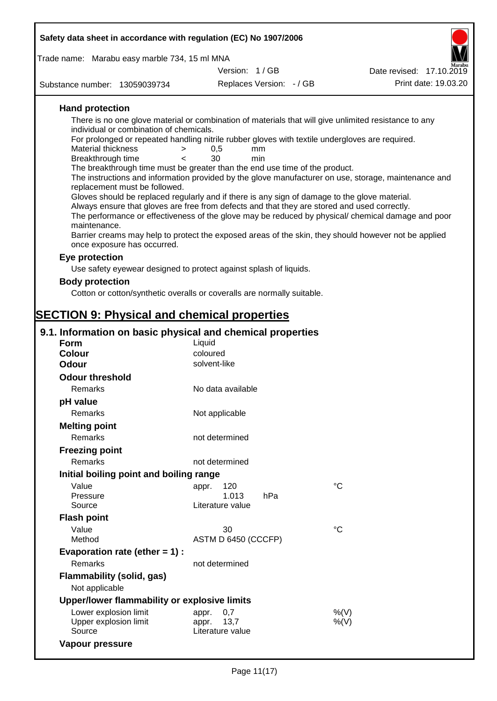| Safety data sheet in accordance with regulation (EC) No 1907/2006                                                         |                                                                               |                                                                                          |                          |                                                                                                                                                                                                                                                                                                                                                                                                                                                                                                                                                                                                                                                                                                                                 |
|---------------------------------------------------------------------------------------------------------------------------|-------------------------------------------------------------------------------|------------------------------------------------------------------------------------------|--------------------------|---------------------------------------------------------------------------------------------------------------------------------------------------------------------------------------------------------------------------------------------------------------------------------------------------------------------------------------------------------------------------------------------------------------------------------------------------------------------------------------------------------------------------------------------------------------------------------------------------------------------------------------------------------------------------------------------------------------------------------|
| Trade name: Marabu easy marble 734, 15 ml MNA                                                                             |                                                                               |                                                                                          |                          |                                                                                                                                                                                                                                                                                                                                                                                                                                                                                                                                                                                                                                                                                                                                 |
|                                                                                                                           |                                                                               | Version: 1/GB                                                                            |                          | Date revised: 17.10.2019                                                                                                                                                                                                                                                                                                                                                                                                                                                                                                                                                                                                                                                                                                        |
| Substance number: 13059039734                                                                                             |                                                                               |                                                                                          | Replaces Version: - / GB | Print date: 19.03.20                                                                                                                                                                                                                                                                                                                                                                                                                                                                                                                                                                                                                                                                                                            |
|                                                                                                                           |                                                                               |                                                                                          |                          |                                                                                                                                                                                                                                                                                                                                                                                                                                                                                                                                                                                                                                                                                                                                 |
| <b>Hand protection</b><br><b>Material thickness</b><br>Breakthrough time<br>replacement must be followed.<br>maintenance. | individual or combination of chemicals.<br>$\geq$<br>$\overline{\phantom{0}}$ | 0,5<br>30<br>The breakthrough time must be greater than the end use time of the product. | mm<br>min                | There is no one glove material or combination of materials that will give unlimited resistance to any<br>For prolonged or repeated handling nitrile rubber gloves with textile undergloves are required.<br>The instructions and information provided by the glove manufacturer on use, storage, maintenance and<br>Gloves should be replaced regularly and if there is any sign of damage to the glove material.<br>Always ensure that gloves are free from defects and that they are stored and used correctly.<br>The performance or effectiveness of the glove may be reduced by physical/ chemical damage and poor<br>Barrier creams may help to protect the exposed areas of the skin, they should however not be applied |
| once exposure has occurred.                                                                                               |                                                                               |                                                                                          |                          |                                                                                                                                                                                                                                                                                                                                                                                                                                                                                                                                                                                                                                                                                                                                 |
| Eye protection                                                                                                            |                                                                               |                                                                                          |                          |                                                                                                                                                                                                                                                                                                                                                                                                                                                                                                                                                                                                                                                                                                                                 |
|                                                                                                                           |                                                                               | Use safety eyewear designed to protect against splash of liquids.                        |                          |                                                                                                                                                                                                                                                                                                                                                                                                                                                                                                                                                                                                                                                                                                                                 |
| <b>Body protection</b>                                                                                                    |                                                                               |                                                                                          |                          |                                                                                                                                                                                                                                                                                                                                                                                                                                                                                                                                                                                                                                                                                                                                 |
|                                                                                                                           |                                                                               | Cotton or cotton/synthetic overalls or coveralls are normally suitable.                  |                          |                                                                                                                                                                                                                                                                                                                                                                                                                                                                                                                                                                                                                                                                                                                                 |
|                                                                                                                           |                                                                               |                                                                                          |                          |                                                                                                                                                                                                                                                                                                                                                                                                                                                                                                                                                                                                                                                                                                                                 |
| <b>SECTION 9: Physical and chemical properties</b>                                                                        |                                                                               |                                                                                          |                          |                                                                                                                                                                                                                                                                                                                                                                                                                                                                                                                                                                                                                                                                                                                                 |
| 9.1. Information on basic physical and chemical properties                                                                |                                                                               |                                                                                          |                          |                                                                                                                                                                                                                                                                                                                                                                                                                                                                                                                                                                                                                                                                                                                                 |
| <b>Form</b>                                                                                                               |                                                                               | Liquid                                                                                   |                          |                                                                                                                                                                                                                                                                                                                                                                                                                                                                                                                                                                                                                                                                                                                                 |
| Colour<br><b>Odour</b>                                                                                                    |                                                                               | coloured<br>solvent-like                                                                 |                          |                                                                                                                                                                                                                                                                                                                                                                                                                                                                                                                                                                                                                                                                                                                                 |
|                                                                                                                           |                                                                               |                                                                                          |                          |                                                                                                                                                                                                                                                                                                                                                                                                                                                                                                                                                                                                                                                                                                                                 |
| <b>Odour threshold</b>                                                                                                    |                                                                               |                                                                                          |                          |                                                                                                                                                                                                                                                                                                                                                                                                                                                                                                                                                                                                                                                                                                                                 |
| Remarks                                                                                                                   |                                                                               | No data available                                                                        |                          |                                                                                                                                                                                                                                                                                                                                                                                                                                                                                                                                                                                                                                                                                                                                 |
| pH value                                                                                                                  |                                                                               |                                                                                          |                          |                                                                                                                                                                                                                                                                                                                                                                                                                                                                                                                                                                                                                                                                                                                                 |
| Remarks                                                                                                                   |                                                                               | Not applicable                                                                           |                          |                                                                                                                                                                                                                                                                                                                                                                                                                                                                                                                                                                                                                                                                                                                                 |
| <b>Melting point</b>                                                                                                      |                                                                               |                                                                                          |                          |                                                                                                                                                                                                                                                                                                                                                                                                                                                                                                                                                                                                                                                                                                                                 |
| Remarks                                                                                                                   |                                                                               | not determined                                                                           |                          |                                                                                                                                                                                                                                                                                                                                                                                                                                                                                                                                                                                                                                                                                                                                 |
| <b>Freezing point</b>                                                                                                     |                                                                               |                                                                                          |                          |                                                                                                                                                                                                                                                                                                                                                                                                                                                                                                                                                                                                                                                                                                                                 |
| Remarks                                                                                                                   |                                                                               | not determined                                                                           |                          |                                                                                                                                                                                                                                                                                                                                                                                                                                                                                                                                                                                                                                                                                                                                 |
| Initial boiling point and boiling range                                                                                   |                                                                               |                                                                                          |                          |                                                                                                                                                                                                                                                                                                                                                                                                                                                                                                                                                                                                                                                                                                                                 |
| Value                                                                                                                     |                                                                               | 120<br>appr.                                                                             |                          | $^{\circ}C$                                                                                                                                                                                                                                                                                                                                                                                                                                                                                                                                                                                                                                                                                                                     |
| Pressure<br>Source                                                                                                        |                                                                               | 1.013<br>Literature value                                                                | hPa                      |                                                                                                                                                                                                                                                                                                                                                                                                                                                                                                                                                                                                                                                                                                                                 |
|                                                                                                                           |                                                                               |                                                                                          |                          |                                                                                                                                                                                                                                                                                                                                                                                                                                                                                                                                                                                                                                                                                                                                 |
| <b>Flash point</b>                                                                                                        |                                                                               |                                                                                          |                          | $\rm ^{\circ}C$                                                                                                                                                                                                                                                                                                                                                                                                                                                                                                                                                                                                                                                                                                                 |
| Value<br>Method                                                                                                           |                                                                               | 30<br>ASTM D 6450 (CCCFP)                                                                |                          |                                                                                                                                                                                                                                                                                                                                                                                                                                                                                                                                                                                                                                                                                                                                 |
| Evaporation rate (ether $= 1$ ) :                                                                                         |                                                                               |                                                                                          |                          |                                                                                                                                                                                                                                                                                                                                                                                                                                                                                                                                                                                                                                                                                                                                 |
| Remarks                                                                                                                   |                                                                               | not determined                                                                           |                          |                                                                                                                                                                                                                                                                                                                                                                                                                                                                                                                                                                                                                                                                                                                                 |
| <b>Flammability (solid, gas)</b>                                                                                          |                                                                               |                                                                                          |                          |                                                                                                                                                                                                                                                                                                                                                                                                                                                                                                                                                                                                                                                                                                                                 |
| Not applicable                                                                                                            |                                                                               |                                                                                          |                          |                                                                                                                                                                                                                                                                                                                                                                                                                                                                                                                                                                                                                                                                                                                                 |
| Upper/lower flammability or explosive limits                                                                              |                                                                               |                                                                                          |                          |                                                                                                                                                                                                                                                                                                                                                                                                                                                                                                                                                                                                                                                                                                                                 |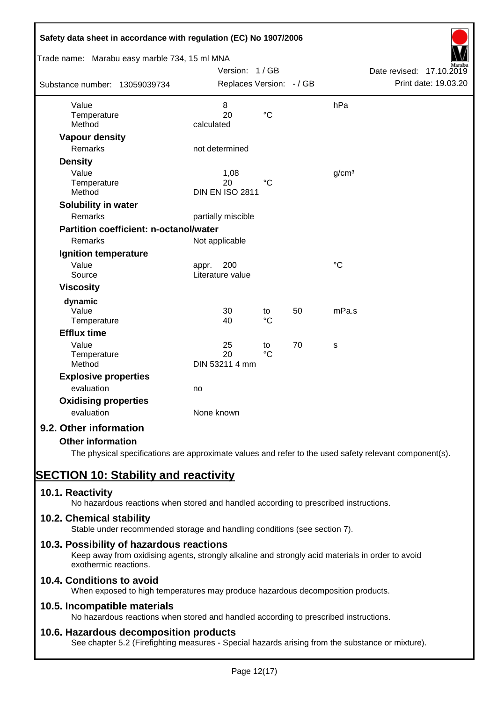| Safety data sheet in accordance with regulation (EC) No 1907/2006<br>Trade name: Marabu easy marble 734, 15 ml MNA |                                      |                       |    |                   |                          |
|--------------------------------------------------------------------------------------------------------------------|--------------------------------------|-----------------------|----|-------------------|--------------------------|
|                                                                                                                    | Version: 1/GB                        |                       |    |                   | Date revised: 17.10.2019 |
| Substance number: 13059039734                                                                                      | Replaces Version: - / GB             |                       |    |                   | Print date: 19.03.20     |
| Value<br>Temperature<br>Method                                                                                     | 8<br>20<br>calculated                | $\rm ^{\circ}C$       |    | hPa               |                          |
| <b>Vapour density</b>                                                                                              |                                      |                       |    |                   |                          |
| Remarks                                                                                                            | not determined                       |                       |    |                   |                          |
| <b>Density</b>                                                                                                     |                                      |                       |    |                   |                          |
| Value<br>Temperature<br>Method                                                                                     | 1,08<br>20<br><b>DIN EN ISO 2811</b> | $^{\circ}C$           |    | g/cm <sup>3</sup> |                          |
| Solubility in water                                                                                                |                                      |                       |    |                   |                          |
| Remarks                                                                                                            | partially miscible                   |                       |    |                   |                          |
| <b>Partition coefficient: n-octanol/water</b>                                                                      |                                      |                       |    |                   |                          |
| <b>Remarks</b>                                                                                                     | Not applicable                       |                       |    |                   |                          |
| Ignition temperature                                                                                               |                                      |                       |    |                   |                          |
| Value<br>Source                                                                                                    | 200<br>appr.<br>Literature value     |                       |    | $\rm ^{\circ}C$   |                          |
| <b>Viscosity</b>                                                                                                   |                                      |                       |    |                   |                          |
| dynamic<br>Value<br>Temperature                                                                                    | 30<br>40                             | to<br>$^{\circ}C$     | 50 | mPa.s             |                          |
| <b>Efflux time</b>                                                                                                 |                                      |                       |    |                   |                          |
| Value<br>Temperature<br>Method                                                                                     | 25<br>20<br>DIN 53211 4 mm           | to<br>$\rm ^{\circ}C$ | 70 | S                 |                          |
| <b>Explosive properties</b>                                                                                        |                                      |                       |    |                   |                          |
| evaluation                                                                                                         | no                                   |                       |    |                   |                          |
| <b>Oxidising properties</b><br>evaluation                                                                          | None known                           |                       |    |                   |                          |
| 9.2. Other information                                                                                             |                                      |                       |    |                   |                          |
| <b>Other information</b>                                                                                           |                                      |                       |    |                   |                          |

The physical specifications are approximate values and refer to the used safety relevant component(s).

# **SECTION 10: Stability and reactivity**

# **10.1. Reactivity**

No hazardous reactions when stored and handled according to prescribed instructions.

# **10.2. Chemical stability**

Stable under recommended storage and handling conditions (see section 7).

# **10.3. Possibility of hazardous reactions**

Keep away from oxidising agents, strongly alkaline and strongly acid materials in order to avoid exothermic reactions.

# **10.4. Conditions to avoid**

When exposed to high temperatures may produce hazardous decomposition products.

# **10.5. Incompatible materials**

No hazardous reactions when stored and handled according to prescribed instructions.

# **10.6. Hazardous decomposition products**

See chapter 5.2 (Firefighting measures - Special hazards arising from the substance or mixture).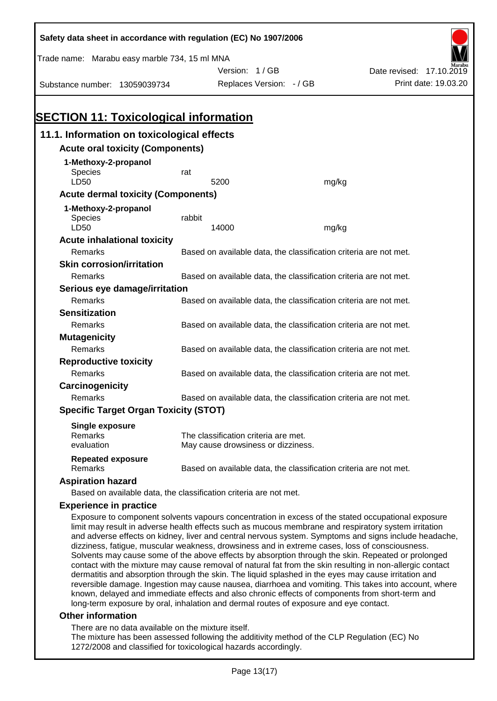| Safety data sheet in accordance with regulation (EC) No 1907/2006 |                                                                   |                                                                   |       |                                                                                                                                                                                                            |  |  |
|-------------------------------------------------------------------|-------------------------------------------------------------------|-------------------------------------------------------------------|-------|------------------------------------------------------------------------------------------------------------------------------------------------------------------------------------------------------------|--|--|
| Trade name: Marabu easy marble 734, 15 ml MNA                     |                                                                   |                                                                   |       |                                                                                                                                                                                                            |  |  |
|                                                                   |                                                                   | Version: 1/GB                                                     |       | Date revised: 17.10.2019                                                                                                                                                                                   |  |  |
| Substance number: 13059039734                                     |                                                                   | Replaces Version: - / GB                                          |       | Print date: 19.03.20                                                                                                                                                                                       |  |  |
|                                                                   |                                                                   |                                                                   |       |                                                                                                                                                                                                            |  |  |
|                                                                   |                                                                   |                                                                   |       |                                                                                                                                                                                                            |  |  |
| <b>SECTION 11: Toxicological information</b>                      |                                                                   |                                                                   |       |                                                                                                                                                                                                            |  |  |
| 11.1. Information on toxicological effects                        |                                                                   |                                                                   |       |                                                                                                                                                                                                            |  |  |
| <b>Acute oral toxicity (Components)</b>                           |                                                                   |                                                                   |       |                                                                                                                                                                                                            |  |  |
| 1-Methoxy-2-propanol                                              |                                                                   |                                                                   |       |                                                                                                                                                                                                            |  |  |
| Species                                                           | rat                                                               |                                                                   |       |                                                                                                                                                                                                            |  |  |
| LD50                                                              |                                                                   | 5200                                                              | mg/kg |                                                                                                                                                                                                            |  |  |
| <b>Acute dermal toxicity (Components)</b>                         |                                                                   |                                                                   |       |                                                                                                                                                                                                            |  |  |
| 1-Methoxy-2-propanol                                              |                                                                   |                                                                   |       |                                                                                                                                                                                                            |  |  |
| Species<br>LD50                                                   | rabbit                                                            | 14000                                                             | mg/kg |                                                                                                                                                                                                            |  |  |
| <b>Acute inhalational toxicity</b>                                |                                                                   |                                                                   |       |                                                                                                                                                                                                            |  |  |
| Remarks                                                           |                                                                   | Based on available data, the classification criteria are not met. |       |                                                                                                                                                                                                            |  |  |
| <b>Skin corrosion/irritation</b>                                  |                                                                   |                                                                   |       |                                                                                                                                                                                                            |  |  |
| Remarks                                                           | Based on available data, the classification criteria are not met. |                                                                   |       |                                                                                                                                                                                                            |  |  |
| Serious eye damage/irritation                                     |                                                                   |                                                                   |       |                                                                                                                                                                                                            |  |  |
| Remarks                                                           |                                                                   | Based on available data, the classification criteria are not met. |       |                                                                                                                                                                                                            |  |  |
| <b>Sensitization</b>                                              |                                                                   |                                                                   |       |                                                                                                                                                                                                            |  |  |
| Remarks                                                           |                                                                   | Based on available data, the classification criteria are not met. |       |                                                                                                                                                                                                            |  |  |
| <b>Mutagenicity</b>                                               |                                                                   |                                                                   |       |                                                                                                                                                                                                            |  |  |
| Remarks                                                           |                                                                   | Based on available data, the classification criteria are not met. |       |                                                                                                                                                                                                            |  |  |
| <b>Reproductive toxicity</b>                                      |                                                                   |                                                                   |       |                                                                                                                                                                                                            |  |  |
| Remarks                                                           |                                                                   | Based on available data, the classification criteria are not met. |       |                                                                                                                                                                                                            |  |  |
| Carcinogenicity                                                   |                                                                   |                                                                   |       |                                                                                                                                                                                                            |  |  |
| Remarks                                                           |                                                                   | Based on available data, the classification criteria are not met. |       |                                                                                                                                                                                                            |  |  |
| <b>Specific Target Organ Toxicity (STOT)</b>                      |                                                                   |                                                                   |       |                                                                                                                                                                                                            |  |  |
| <b>Single exposure</b>                                            |                                                                   |                                                                   |       |                                                                                                                                                                                                            |  |  |
| Remarks                                                           |                                                                   | The classification criteria are met.                              |       |                                                                                                                                                                                                            |  |  |
| evaluation                                                        |                                                                   | May cause drowsiness or dizziness.                                |       |                                                                                                                                                                                                            |  |  |
| <b>Repeated exposure</b><br>Remarks                               |                                                                   | Based on available data, the classification criteria are not met. |       |                                                                                                                                                                                                            |  |  |
| <b>Aspiration hazard</b>                                          |                                                                   |                                                                   |       |                                                                                                                                                                                                            |  |  |
| Based on available data, the classification criteria are not met. |                                                                   |                                                                   |       |                                                                                                                                                                                                            |  |  |
| <b>Experience in practice</b>                                     |                                                                   |                                                                   |       |                                                                                                                                                                                                            |  |  |
|                                                                   |                                                                   |                                                                   |       | Exposure to component solvents vapours concentration in excess of the stated occupational exposure<br>limit may result in adverse health effects such as mucous membrane and respiratory system irritation |  |  |

and adverse effects on kidney, liver and central nervous system. Symptoms and signs include headache, dizziness, fatigue, muscular weakness, drowsiness and in extreme cases, loss of consciousness. Solvents may cause some of the above effects by absorption through the skin. Repeated or prolonged contact with the mixture may cause removal of natural fat from the skin resulting in non-allergic contact dermatitis and absorption through the skin. The liquid splashed in the eyes may cause irritation and reversible damage. Ingestion may cause nausea, diarrhoea and vomiting. This takes into account, where known, delayed and immediate effects and also chronic effects of components from short-term and long-term exposure by oral, inhalation and dermal routes of exposure and eye contact.

#### **Other information**

There are no data available on the mixture itself.

The mixture has been assessed following the additivity method of the CLP Regulation (EC) No 1272/2008 and classified for toxicological hazards accordingly.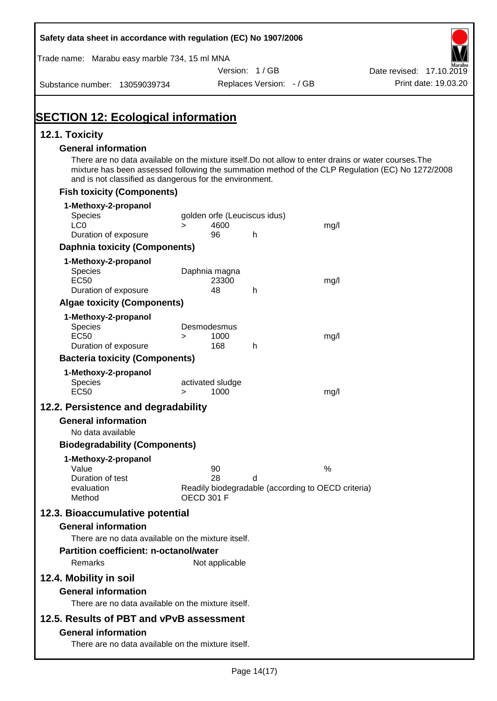| Safety data sheet in accordance with regulation (EC) No 1907/2006                                                                                                |        |                              |                          |                                                    |                                                                                                  |
|------------------------------------------------------------------------------------------------------------------------------------------------------------------|--------|------------------------------|--------------------------|----------------------------------------------------|--------------------------------------------------------------------------------------------------|
| Trade name: Marabu easy marble 734, 15 ml MNA                                                                                                                    |        |                              |                          |                                                    |                                                                                                  |
|                                                                                                                                                                  |        |                              | Version: 1/GB            |                                                    | Date revised: 17.10.2019                                                                         |
| Substance number: 13059039734                                                                                                                                    |        |                              | Replaces Version: - / GB |                                                    | Print date: 19.03.20                                                                             |
| <b>SECTION 12: Ecological information</b>                                                                                                                        |        |                              |                          |                                                    |                                                                                                  |
| 12.1. Toxicity                                                                                                                                                   |        |                              |                          |                                                    |                                                                                                  |
| <b>General information</b>                                                                                                                                       |        |                              |                          |                                                    |                                                                                                  |
| There are no data available on the mixture itself. Do not allow to enter drains or water courses. The<br>and is not classified as dangerous for the environment. |        |                              |                          |                                                    | mixture has been assessed following the summation method of the CLP Regulation (EC) No 1272/2008 |
| <b>Fish toxicity (Components)</b>                                                                                                                                |        |                              |                          |                                                    |                                                                                                  |
| 1-Methoxy-2-propanol                                                                                                                                             |        |                              |                          |                                                    |                                                                                                  |
| <b>Species</b>                                                                                                                                                   |        | golden orfe (Leuciscus idus) |                          |                                                    |                                                                                                  |
| LC <sub>0</sub><br>Duration of exposure                                                                                                                          | $\geq$ | 4600<br>96                   | h                        | mg/l                                               |                                                                                                  |
| <b>Daphnia toxicity (Components)</b>                                                                                                                             |        |                              |                          |                                                    |                                                                                                  |
| 1-Methoxy-2-propanol                                                                                                                                             |        |                              |                          |                                                    |                                                                                                  |
| <b>Species</b>                                                                                                                                                   |        | Daphnia magna                |                          |                                                    |                                                                                                  |
| <b>EC50</b>                                                                                                                                                      |        | 23300                        |                          | mg/l                                               |                                                                                                  |
| Duration of exposure                                                                                                                                             |        | 48                           | h                        |                                                    |                                                                                                  |
| <b>Algae toxicity (Components)</b>                                                                                                                               |        |                              |                          |                                                    |                                                                                                  |
| 1-Methoxy-2-propanol<br><b>Species</b>                                                                                                                           |        | Desmodesmus                  |                          |                                                    |                                                                                                  |
| <b>EC50</b>                                                                                                                                                      | $\geq$ | 1000                         |                          | mg/l                                               |                                                                                                  |
| Duration of exposure                                                                                                                                             |        | 168                          | h                        |                                                    |                                                                                                  |
| <b>Bacteria toxicity (Components)</b>                                                                                                                            |        |                              |                          |                                                    |                                                                                                  |
| 1-Methoxy-2-propanol                                                                                                                                             |        |                              |                          |                                                    |                                                                                                  |
| Species<br><b>EC50</b>                                                                                                                                           | $\geq$ | activated sludge<br>1000     |                          | mg/l                                               |                                                                                                  |
| 12.2. Persistence and degradability                                                                                                                              |        |                              |                          |                                                    |                                                                                                  |
| <b>General information</b>                                                                                                                                       |        |                              |                          |                                                    |                                                                                                  |
| No data available                                                                                                                                                |        |                              |                          |                                                    |                                                                                                  |
| <b>Biodegradability (Components)</b>                                                                                                                             |        |                              |                          |                                                    |                                                                                                  |
| 1-Methoxy-2-propanol                                                                                                                                             |        |                              |                          |                                                    |                                                                                                  |
| Value                                                                                                                                                            |        | 90                           |                          | $\%$                                               |                                                                                                  |
| Duration of test<br>evaluation                                                                                                                                   |        | 28                           | d                        | Readily biodegradable (according to OECD criteria) |                                                                                                  |
| Method                                                                                                                                                           |        | <b>OECD 301 F</b>            |                          |                                                    |                                                                                                  |
| 12.3. Bioaccumulative potential                                                                                                                                  |        |                              |                          |                                                    |                                                                                                  |
| <b>General information</b>                                                                                                                                       |        |                              |                          |                                                    |                                                                                                  |
| There are no data available on the mixture itself.                                                                                                               |        |                              |                          |                                                    |                                                                                                  |
| <b>Partition coefficient: n-octanol/water</b>                                                                                                                    |        |                              |                          |                                                    |                                                                                                  |
| Remarks                                                                                                                                                          |        | Not applicable               |                          |                                                    |                                                                                                  |
| 12.4. Mobility in soil                                                                                                                                           |        |                              |                          |                                                    |                                                                                                  |
| <b>General information</b>                                                                                                                                       |        |                              |                          |                                                    |                                                                                                  |
| There are no data available on the mixture itself.                                                                                                               |        |                              |                          |                                                    |                                                                                                  |
| 12.5. Results of PBT and vPvB assessment                                                                                                                         |        |                              |                          |                                                    |                                                                                                  |
| <b>General information</b>                                                                                                                                       |        |                              |                          |                                                    |                                                                                                  |
| There are no data available on the mixture itself.                                                                                                               |        |                              |                          |                                                    |                                                                                                  |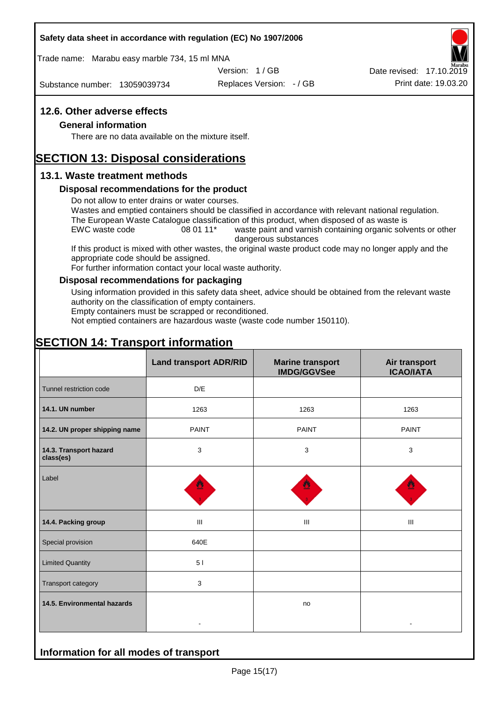#### **Safety data sheet in accordance with regulation (EC) No 1907/2006**

Trade name: Marabu easy marble 734, 15 ml MNA

Version: 1 / GB

Substance number: 13059039734

Replaces Version: - / GB Print date: 19.03.20 Date revised: 17.10.2019

### **12.6. Other adverse effects**

#### **General information**

There are no data available on the mixture itself.

# **SECTION 13: Disposal considerations**

#### **13.1. Waste treatment methods**

#### **Disposal recommendations for the product**

Do not allow to enter drains or water courses.

Wastes and emptied containers should be classified in accordance with relevant national regulation. The European Waste Catalogue classification of this product, when disposed of as waste is

EWC waste code 08 01 11<sup>\*</sup> waste paint and varnish containing organic solvents or other dangerous substances

If this product is mixed with other wastes, the original waste product code may no longer apply and the appropriate code should be assigned.

For further information contact your local waste authority.

#### **Disposal recommendations for packaging**

Using information provided in this safety data sheet, advice should be obtained from the relevant waste authority on the classification of empty containers.

Empty containers must be scrapped or reconditioned.

Not emptied containers are hazardous waste (waste code number 150110).

# **SECTION 14: Transport information**

**Information for all modes of transport**

|                                     | <b>Land transport ADR/RID</b> | <b>Marine transport</b><br><b>IMDG/GGVSee</b> | Air transport<br><b>ICAO/IATA</b> |
|-------------------------------------|-------------------------------|-----------------------------------------------|-----------------------------------|
| Tunnel restriction code             | D/E                           |                                               |                                   |
| 14.1. UN number                     | 1263                          | 1263                                          | 1263                              |
| 14.2. UN proper shipping name       | <b>PAINT</b>                  | <b>PAINT</b>                                  | <b>PAINT</b>                      |
| 14.3. Transport hazard<br>class(es) | 3                             | $\mathbf{3}$                                  | 3                                 |
| Label                               |                               |                                               |                                   |
| 14.4. Packing group                 | Ш                             | Ш                                             | Ш                                 |
| Special provision                   | 640E                          |                                               |                                   |
| <b>Limited Quantity</b>             | 5 <sub>1</sub>                |                                               |                                   |
| Transport category                  | 3                             |                                               |                                   |
| 14.5. Environmental hazards         |                               | no                                            |                                   |
|                                     |                               |                                               |                                   |

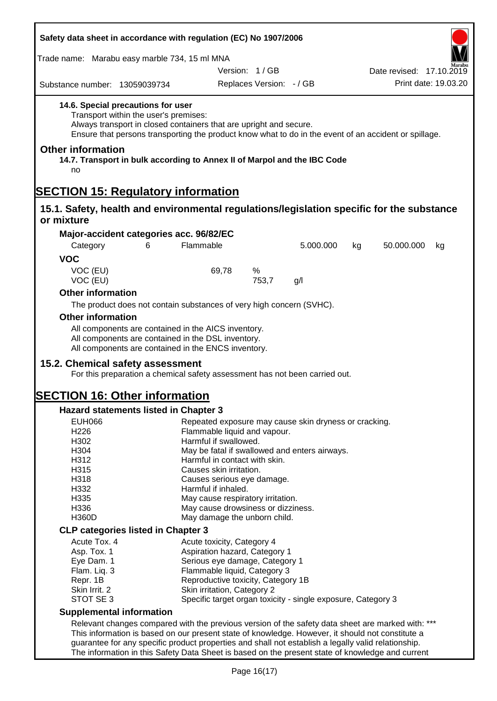| Safety data sheet in accordance with regulation (EC) No 1907/2006                                                                                                                                                                                                                                                                                                  |                                                                                |                               |                                                              |    |                          |                      |
|--------------------------------------------------------------------------------------------------------------------------------------------------------------------------------------------------------------------------------------------------------------------------------------------------------------------------------------------------------------------|--------------------------------------------------------------------------------|-------------------------------|--------------------------------------------------------------|----|--------------------------|----------------------|
| Trade name: Marabu easy marble 734, 15 ml MNA                                                                                                                                                                                                                                                                                                                      |                                                                                |                               |                                                              |    |                          |                      |
|                                                                                                                                                                                                                                                                                                                                                                    |                                                                                | Version: 1/GB                 |                                                              |    | Date revised: 17.10.2019 |                      |
| Substance number: 13059039734                                                                                                                                                                                                                                                                                                                                      |                                                                                | Replaces Version: - / GB      |                                                              |    |                          | Print date: 19.03.20 |
| 14.6. Special precautions for user<br>Transport within the user's premises:<br>Always transport in closed containers that are upright and secure.<br>Ensure that persons transporting the product know what to do in the event of an accident or spillage.<br><b>Other information</b><br>14.7. Transport in bulk according to Annex II of Marpol and the IBC Code |                                                                                |                               |                                                              |    |                          |                      |
| no                                                                                                                                                                                                                                                                                                                                                                 |                                                                                |                               |                                                              |    |                          |                      |
| <b>SECTION 15: Regulatory information</b>                                                                                                                                                                                                                                                                                                                          |                                                                                |                               |                                                              |    |                          |                      |
| 15.1. Safety, health and environmental regulations/legislation specific for the substance<br>or mixture                                                                                                                                                                                                                                                            |                                                                                |                               |                                                              |    |                          |                      |
| Major-accident categories acc. 96/82/EC                                                                                                                                                                                                                                                                                                                            |                                                                                |                               |                                                              |    |                          |                      |
| Category<br>6                                                                                                                                                                                                                                                                                                                                                      | Flammable                                                                      |                               | 5.000.000                                                    | kg | 50.000.000               | kg                   |
| <b>VOC</b>                                                                                                                                                                                                                                                                                                                                                         |                                                                                |                               |                                                              |    |                          |                      |
| VOC (EU)<br>VOC (EU)                                                                                                                                                                                                                                                                                                                                               | 69,78                                                                          | %<br>753,7                    | g/l                                                          |    |                          |                      |
| <b>Other information</b>                                                                                                                                                                                                                                                                                                                                           |                                                                                |                               |                                                              |    |                          |                      |
| The product does not contain substances of very high concern (SVHC).                                                                                                                                                                                                                                                                                               |                                                                                |                               |                                                              |    |                          |                      |
| <b>Other information</b>                                                                                                                                                                                                                                                                                                                                           |                                                                                |                               |                                                              |    |                          |                      |
| All components are contained in the AICS inventory.<br>All components are contained in the DSL inventory.<br>All components are contained in the ENCS inventory.<br>15.2. Chemical safety assessment                                                                                                                                                               |                                                                                |                               |                                                              |    |                          |                      |
| For this preparation a chemical safety assessment has not been carried out.                                                                                                                                                                                                                                                                                        |                                                                                |                               |                                                              |    |                          |                      |
| <b>SECTION 16: Other information</b>                                                                                                                                                                                                                                                                                                                               |                                                                                |                               |                                                              |    |                          |                      |
| <b>Hazard statements listed in Chapter 3</b>                                                                                                                                                                                                                                                                                                                       |                                                                                |                               |                                                              |    |                          |                      |
| <b>EUH066</b>                                                                                                                                                                                                                                                                                                                                                      |                                                                                |                               | Repeated exposure may cause skin dryness or cracking.        |    |                          |                      |
| H226                                                                                                                                                                                                                                                                                                                                                               | Flammable liquid and vapour.                                                   |                               |                                                              |    |                          |                      |
| H302                                                                                                                                                                                                                                                                                                                                                               | Harmful if swallowed.                                                          |                               |                                                              |    |                          |                      |
| H304<br>H312                                                                                                                                                                                                                                                                                                                                                       | May be fatal if swallowed and enters airways.<br>Harmful in contact with skin. |                               |                                                              |    |                          |                      |
| H315                                                                                                                                                                                                                                                                                                                                                               | Causes skin irritation.                                                        |                               |                                                              |    |                          |                      |
| H318                                                                                                                                                                                                                                                                                                                                                               | Causes serious eye damage.                                                     |                               |                                                              |    |                          |                      |
| H332                                                                                                                                                                                                                                                                                                                                                               | Harmful if inhaled.                                                            |                               |                                                              |    |                          |                      |
| H335                                                                                                                                                                                                                                                                                                                                                               | May cause respiratory irritation.                                              |                               |                                                              |    |                          |                      |
| H336                                                                                                                                                                                                                                                                                                                                                               | May cause drowsiness or dizziness.                                             |                               |                                                              |    |                          |                      |
| H360D                                                                                                                                                                                                                                                                                                                                                              | May damage the unborn child.                                                   |                               |                                                              |    |                          |                      |
| <b>CLP categories listed in Chapter 3</b>                                                                                                                                                                                                                                                                                                                          |                                                                                |                               |                                                              |    |                          |                      |
| Acute Tox. 4                                                                                                                                                                                                                                                                                                                                                       | Acute toxicity, Category 4                                                     |                               |                                                              |    |                          |                      |
| Asp. Tox. 1                                                                                                                                                                                                                                                                                                                                                        |                                                                                | Aspiration hazard, Category 1 |                                                              |    |                          |                      |
| Eye Dam. 1                                                                                                                                                                                                                                                                                                                                                         | Serious eye damage, Category 1                                                 |                               |                                                              |    |                          |                      |
| Flam. Liq. 3                                                                                                                                                                                                                                                                                                                                                       | Flammable liquid, Category 3                                                   |                               |                                                              |    |                          |                      |
| Repr. 1B                                                                                                                                                                                                                                                                                                                                                           | Reproductive toxicity, Category 1B                                             |                               |                                                              |    |                          |                      |
| Skin Irrit. 2                                                                                                                                                                                                                                                                                                                                                      | Skin irritation, Category 2                                                    |                               |                                                              |    |                          |                      |
| STOT SE 3                                                                                                                                                                                                                                                                                                                                                          |                                                                                |                               | Specific target organ toxicity - single exposure, Category 3 |    |                          |                      |
| <b>Supplemental information</b>                                                                                                                                                                                                                                                                                                                                    |                                                                                |                               |                                                              |    |                          |                      |
| Relevant changes compared with the previous version of the safety data sheet are marked with: ***                                                                                                                                                                                                                                                                  |                                                                                |                               |                                                              |    |                          |                      |
| This information is based on our present state of knowledge. However, it should not constitute a                                                                                                                                                                                                                                                                   |                                                                                |                               |                                                              |    |                          |                      |
| guarantee for any specific product properties and shall not establish a legally valid relationship.                                                                                                                                                                                                                                                                |                                                                                |                               |                                                              |    |                          |                      |
| The information in this Safety Data Sheet is based on the present state of knowledge and current                                                                                                                                                                                                                                                                   |                                                                                |                               |                                                              |    |                          |                      |